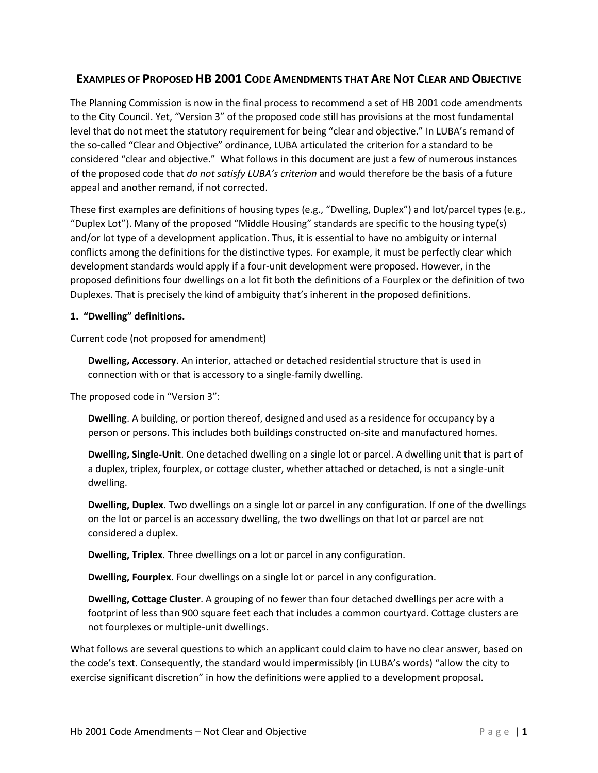# **EXAMPLES OF PROPOSED HB 2001 CODE AMENDMENTS THAT ARE NOT CLEAR AND OBJECTIVE**

The Planning Commission is now in the final process to recommend a set of HB 2001 code amendments to the City Council. Yet, "Version 3" of the proposed code still has provisions at the most fundamental level that do not meet the statutory requirement for being "clear and objective." In LUBA's remand of the so-called "Clear and Objective" ordinance, LUBA articulated the criterion for a standard to be considered "clear and objective." What follows in this document are just a few of numerous instances of the proposed code that *do not satisfy LUBA's criterion* and would therefore be the basis of a future appeal and another remand, if not corrected.

These first examples are definitions of housing types (e.g., "Dwelling, Duplex") and lot/parcel types (e.g., "Duplex Lot"). Many of the proposed "Middle Housing" standards are specific to the housing type(s) and/or lot type of a development application. Thus, it is essential to have no ambiguity or internal conflicts among the definitions for the distinctive types. For example, it must be perfectly clear which development standards would apply if a four-unit development were proposed. However, in the proposed definitions four dwellings on a lot fit both the definitions of a Fourplex or the definition of two Duplexes. That is precisely the kind of ambiguity that's inherent in the proposed definitions.

### **1. "Dwelling" definitions.**

Current code (not proposed for amendment)

**Dwelling, Accessory**. An interior, attached or detached residential structure that is used in connection with or that is accessory to a single-family dwelling.

The proposed code in "Version 3":

**Dwelling**. A building, or portion thereof, designed and used as a residence for occupancy by a person or persons. This includes both buildings constructed on-site and manufactured homes.

**Dwelling, Single-Unit**. One detached dwelling on a single lot or parcel. A dwelling unit that is part of a duplex, triplex, fourplex, or cottage cluster, whether attached or detached, is not a single-unit dwelling.

**Dwelling, Duplex**. Two dwellings on a single lot or parcel in any configuration. If one of the dwellings on the lot or parcel is an accessory dwelling, the two dwellings on that lot or parcel are not considered a duplex.

**Dwelling, Triplex**. Three dwellings on a lot or parcel in any configuration.

**Dwelling, Fourplex**. Four dwellings on a single lot or parcel in any configuration.

**Dwelling, Cottage Cluster**. A grouping of no fewer than four detached dwellings per acre with a footprint of less than 900 square feet each that includes a common courtyard. Cottage clusters are not fourplexes or multiple-unit dwellings.

What follows are several questions to which an applicant could claim to have no clear answer, based on the code's text. Consequently, the standard would impermissibly (in LUBA's words) "allow the city to exercise significant discretion" in how the definitions were applied to a development proposal.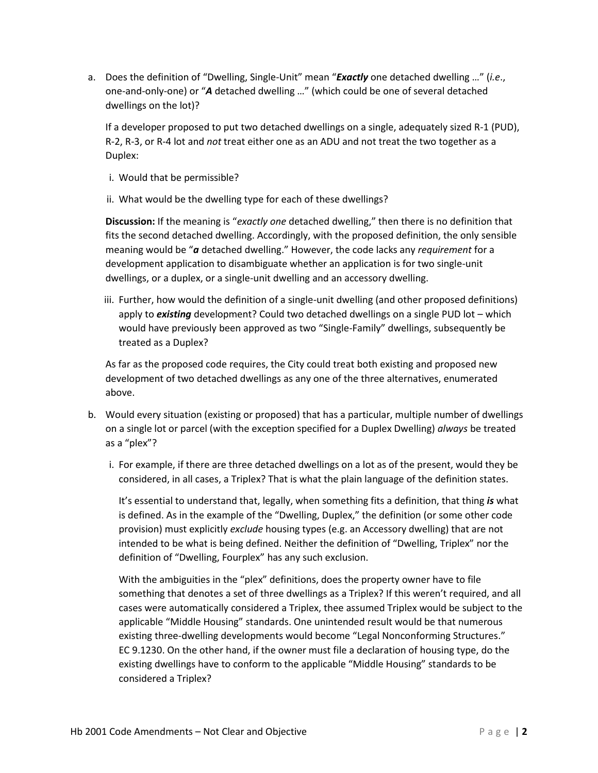a. Does the definition of "Dwelling, Single-Unit" mean "*Exactly* one detached dwelling …" (*i.e*., one-and-only-one) or "*A* detached dwelling …" (which could be one of several detached dwellings on the lot)?

If a developer proposed to put two detached dwellings on a single, adequately sized R-1 (PUD), R-2, R-3, or R-4 lot and *not* treat either one as an ADU and not treat the two together as a Duplex:

- i. Would that be permissible?
- ii. What would be the dwelling type for each of these dwellings?

**Discussion:** If the meaning is "*exactly one* detached dwelling," then there is no definition that fits the second detached dwelling. Accordingly, with the proposed definition, the only sensible meaning would be "*a* detached dwelling." However, the code lacks any *requirement* for a development application to disambiguate whether an application is for two single-unit dwellings, or a duplex, or a single-unit dwelling and an accessory dwelling.

iii. Further, how would the definition of a single-unit dwelling (and other proposed definitions) apply to *existing* development? Could two detached dwellings on a single PUD lot – which would have previously been approved as two "Single-Family" dwellings, subsequently be treated as a Duplex?

As far as the proposed code requires, the City could treat both existing and proposed new development of two detached dwellings as any one of the three alternatives, enumerated above.

- b. Would every situation (existing or proposed) that has a particular, multiple number of dwellings on a single lot or parcel (with the exception specified for a Duplex Dwelling) *always* be treated as a "plex"?
	- i. For example, if there are three detached dwellings on a lot as of the present, would they be considered, in all cases, a Triplex? That is what the plain language of the definition states.

It's essential to understand that, legally, when something fits a definition, that thing *is* what is defined. As in the example of the "Dwelling, Duplex," the definition (or some other code provision) must explicitly *exclude* housing types (e.g. an Accessory dwelling) that are not intended to be what is being defined. Neither the definition of "Dwelling, Triplex" nor the definition of "Dwelling, Fourplex" has any such exclusion.

With the ambiguities in the "plex" definitions, does the property owner have to file something that denotes a set of three dwellings as a Triplex? If this weren't required, and all cases were automatically considered a Triplex, thee assumed Triplex would be subject to the applicable "Middle Housing" standards. One unintended result would be that numerous existing three-dwelling developments would become "Legal Nonconforming Structures." EC 9.1230. On the other hand, if the owner must file a declaration of housing type, do the existing dwellings have to conform to the applicable "Middle Housing" standards to be considered a Triplex?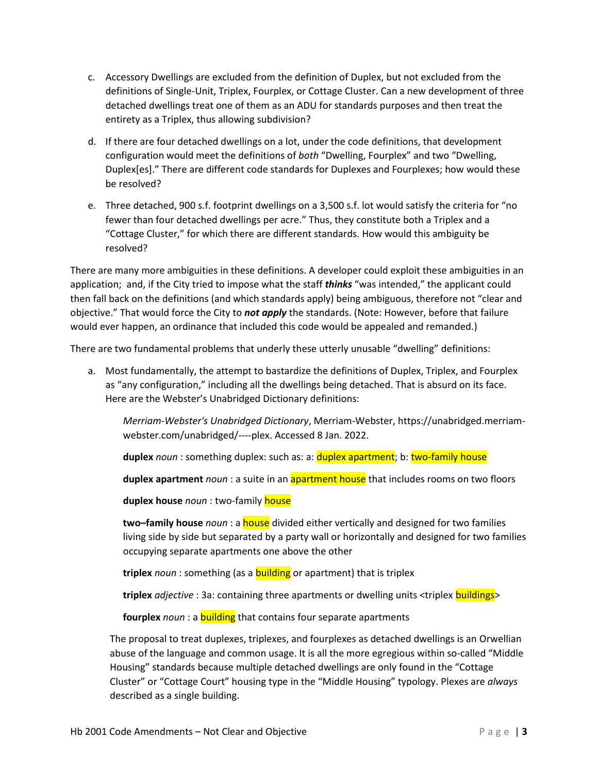- c. Accessory Dwellings are excluded from the definition of Duplex, but not excluded from the definitions of Single-Unit, Triplex, Fourplex, or Cottage Cluster. Can a new development of three detached dwellings treat one of them as an ADU for standards purposes and then treat the entirety as a Triplex, thus allowing subdivision?
- d. If there are four detached dwellings on a lot, under the code definitions, that development configuration would meet the definitions of *both* "Dwelling, Fourplex" and two "Dwelling, Duplex[es]." There are different code standards for Duplexes and Fourplexes; how would these be resolved?
- e. Three detached, 900 s.f. footprint dwellings on a 3,500 s.f. lot would satisfy the criteria for "no fewer than four detached dwellings per acre." Thus, they constitute both a Triplex and a "Cottage Cluster," for which there are different standards. How would this ambiguity be resolved?

There are many more ambiguities in these definitions. A developer could exploit these ambiguities in an application; and, if the City tried to impose what the staff *thinks* "was intended," the applicant could then fall back on the definitions (and which standards apply) being ambiguous, therefore not "clear and objective." That would force the City to *not apply* the standards. (Note: However, before that failure would ever happen, an ordinance that included this code would be appealed and remanded.)

There are two fundamental problems that underly these utterly unusable "dwelling" definitions:

a. Most fundamentally, the attempt to bastardize the definitions of Duplex, Triplex, and Fourplex as "any configuration," including all the dwellings being detached. That is absurd on its face. Here are the Webster's Unabridged Dictionary definitions:

*Merriam-Webster's Unabridged Dictionary*, Merriam-Webster, https://unabridged.merriamwebster.com/unabridged/----plex. Accessed 8 Jan. 2022.

**duplex** *noun* : something duplex: such as: a: duplex apartment; b: two-family house

**duplex apartment** *noun* : a suite in an apartment house that includes rooms on two floors

**duplex house** *noun* : two-family house

**two–family house** *noun* : a house divided either vertically and designed for two families living side by side but separated by a party wall or horizontally and designed for two families occupying separate apartments one above the other

**triplex** *noun* : something (as a building or apartment) that is triplex

**triplex** *adjective* : 3a: containing three apartments or dwelling units <triplex buildings>

**fourplex** *noun* : a **building** that contains four separate apartments

The proposal to treat duplexes, triplexes, and fourplexes as detached dwellings is an Orwellian abuse of the language and common usage. It is all the more egregious within so-called "Middle Housing" standards because multiple detached dwellings are only found in the "Cottage Cluster" or "Cottage Court" housing type in the "Middle Housing" typology. Plexes are *always* described as a single building.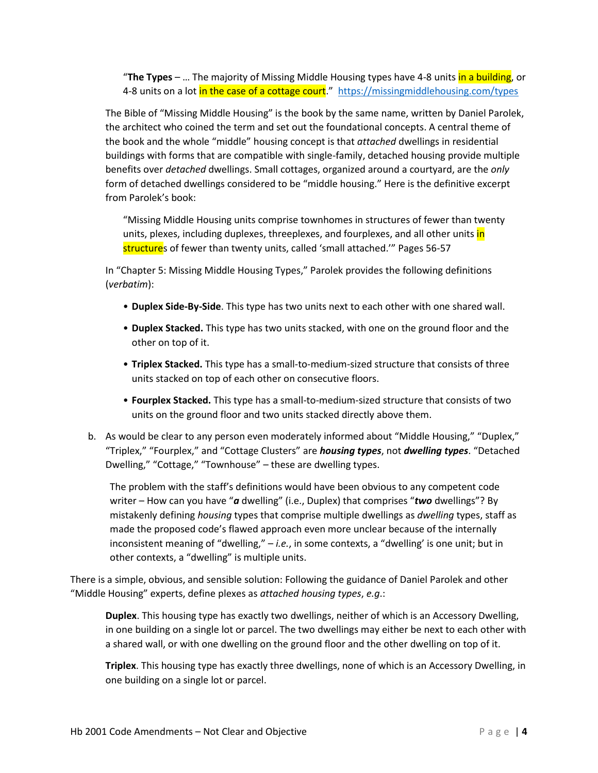"**The Types** – … The majority of Missing Middle Housing types have 4-8 units in a building, or 4-8 units on a lot in the case of a cottage court." <https://missingmiddlehousing.com/types>

The Bible of "Missing Middle Housing" is the book by the same name, written by Daniel Parolek, the architect who coined the term and set out the foundational concepts. A central theme of the book and the whole "middle" housing concept is that *attached* dwellings in residential buildings with forms that are compatible with single-family, detached housing provide multiple benefits over *detached* dwellings. Small cottages, organized around a courtyard, are the *only* form of detached dwellings considered to be "middle housing." Here is the definitive excerpt from Parolek's book:

"Missing Middle Housing units comprise townhomes in structures of fewer than twenty units, plexes, including duplexes, threeplexes, and fourplexes, and all other units in structures of fewer than twenty units, called 'small attached.'" Pages 56-57

In "Chapter 5: Missing Middle Housing Types," Parolek provides the following definitions (*verbatim*):

- **Duplex Side-By-Side**. This type has two units next to each other with one shared wall.
- **Duplex Stacked.** This type has two units stacked, with one on the ground floor and the other on top of it.
- **Triplex Stacked.** This type has a small-to-medium-sized structure that consists of three units stacked on top of each other on consecutive floors.
- **Fourplex Stacked.** This type has a small-to-medium-sized structure that consists of two units on the ground floor and two units stacked directly above them.
- b. As would be clear to any person even moderately informed about "Middle Housing," "Duplex," "Triplex," "Fourplex," and "Cottage Clusters" are *housing types*, not *dwelling types*. "Detached Dwelling," "Cottage," "Townhouse" – these are dwelling types.

The problem with the staff's definitions would have been obvious to any competent code writer – How can you have "*a* dwelling" (i.e., Duplex) that comprises "*two* dwellings"? By mistakenly defining *housing* types that comprise multiple dwellings as *dwelling* types, staff as made the proposed code's flawed approach even more unclear because of the internally inconsistent meaning of "dwelling," – *i.e.*, in some contexts, a "dwelling' is one unit; but in other contexts, a "dwelling" is multiple units.

There is a simple, obvious, and sensible solution: Following the guidance of Daniel Parolek and other "Middle Housing" experts, define plexes as *attached housing types*, *e.g*.:

**Duplex**. This housing type has exactly two dwellings, neither of which is an Accessory Dwelling, in one building on a single lot or parcel. The two dwellings may either be next to each other with a shared wall, or with one dwelling on the ground floor and the other dwelling on top of it.

**Triplex**. This housing type has exactly three dwellings, none of which is an Accessory Dwelling, in one building on a single lot or parcel.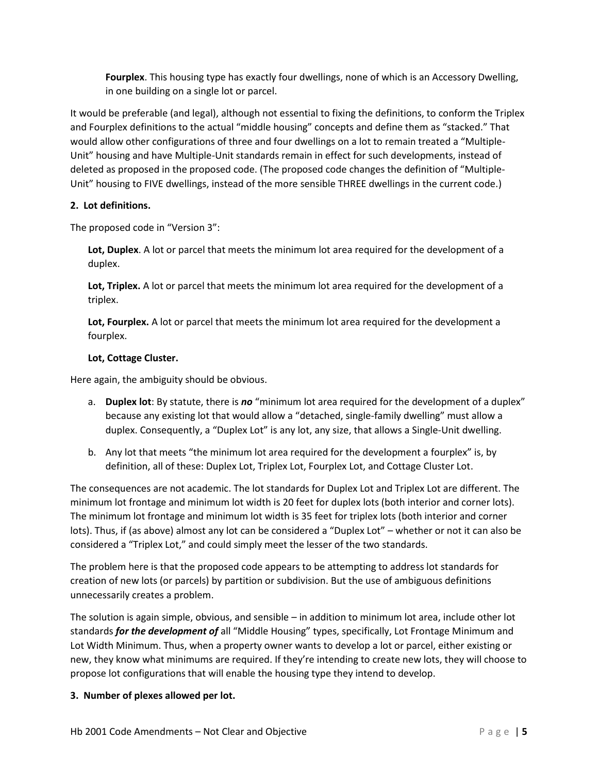**Fourplex**. This housing type has exactly four dwellings, none of which is an Accessory Dwelling, in one building on a single lot or parcel.

It would be preferable (and legal), although not essential to fixing the definitions, to conform the Triplex and Fourplex definitions to the actual "middle housing" concepts and define them as "stacked." That would allow other configurations of three and four dwellings on a lot to remain treated a "Multiple-Unit" housing and have Multiple-Unit standards remain in effect for such developments, instead of deleted as proposed in the proposed code. (The proposed code changes the definition of "Multiple-Unit" housing to FIVE dwellings, instead of the more sensible THREE dwellings in the current code.)

# **2. Lot definitions.**

The proposed code in "Version 3":

**Lot, Duplex**. A lot or parcel that meets the minimum lot area required for the development of a duplex.

**Lot, Triplex.** A lot or parcel that meets the minimum lot area required for the development of a triplex.

**Lot, Fourplex.** A lot or parcel that meets the minimum lot area required for the development a fourplex.

# **Lot, Cottage Cluster.**

Here again, the ambiguity should be obvious.

- a. **Duplex lot**: By statute, there is *no* "minimum lot area required for the development of a duplex" because any existing lot that would allow a "detached, single-family dwelling" must allow a duplex. Consequently, a "Duplex Lot" is any lot, any size, that allows a Single-Unit dwelling.
- b. Any lot that meets "the minimum lot area required for the development a fourplex" is, by definition, all of these: Duplex Lot, Triplex Lot, Fourplex Lot, and Cottage Cluster Lot.

The consequences are not academic. The lot standards for Duplex Lot and Triplex Lot are different. The minimum lot frontage and minimum lot width is 20 feet for duplex lots (both interior and corner lots). The minimum lot frontage and minimum lot width is 35 feet for triplex lots (both interior and corner lots). Thus, if (as above) almost any lot can be considered a "Duplex Lot" – whether or not it can also be considered a "Triplex Lot," and could simply meet the lesser of the two standards.

The problem here is that the proposed code appears to be attempting to address lot standards for creation of new lots (or parcels) by partition or subdivision. But the use of ambiguous definitions unnecessarily creates a problem.

The solution is again simple, obvious, and sensible – in addition to minimum lot area, include other lot standards *for the development of* all "Middle Housing" types, specifically, Lot Frontage Minimum and Lot Width Minimum. Thus, when a property owner wants to develop a lot or parcel, either existing or new, they know what minimums are required. If they're intending to create new lots, they will choose to propose lot configurations that will enable the housing type they intend to develop.

### **3. Number of plexes allowed per lot.**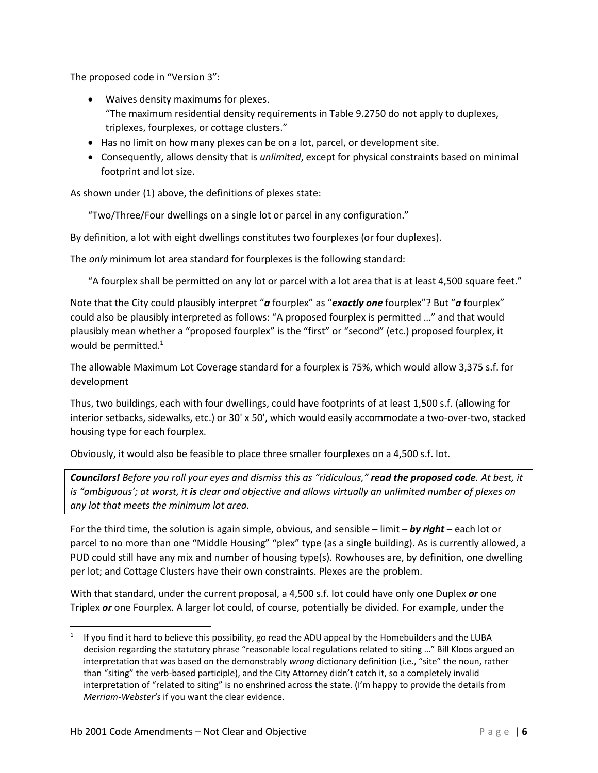The proposed code in "Version 3":

- Waives density maximums for plexes. "The maximum residential density requirements in Table 9.2750 do not apply to duplexes, triplexes, fourplexes, or cottage clusters."
- Has no limit on how many plexes can be on a lot, parcel, or development site.
- Consequently, allows density that is *unlimited*, except for physical constraints based on minimal footprint and lot size.

As shown under (1) above, the definitions of plexes state:

"Two/Three/Four dwellings on a single lot or parcel in any configuration."

By definition, a lot with eight dwellings constitutes two fourplexes (or four duplexes).

The *only* minimum lot area standard for fourplexes is the following standard:

"A fourplex shall be permitted on any lot or parcel with a lot area that is at least 4,500 square feet."

Note that the City could plausibly interpret "*a* fourplex" as "*exactly one* fourplex"? But "*a* fourplex" could also be plausibly interpreted as follows: "A proposed fourplex is permitted …" and that would plausibly mean whether a "proposed fourplex" is the "first" or "second" (etc.) proposed fourplex, it would be permitted. 1

The allowable Maximum Lot Coverage standard for a fourplex is 75%, which would allow 3,375 s.f. for development

Thus, two buildings, each with four dwellings, could have footprints of at least 1,500 s.f. (allowing for interior setbacks, sidewalks, etc.) or 30' x 50', which would easily accommodate a two-over-two, stacked housing type for each fourplex.

Obviously, it would also be feasible to place three smaller fourplexes on a 4,500 s.f. lot.

*Councilors! Before you roll your eyes and dismiss this as "ridiculous," read the proposed code. At best, it is "ambiguous'; at worst, it is clear and objective and allows virtually an unlimited number of plexes on any lot that meets the minimum lot area.*

For the third time, the solution is again simple, obvious, and sensible – limit – *by right* – each lot or parcel to no more than one "Middle Housing" "plex" type (as a single building). As is currently allowed, a PUD could still have any mix and number of housing type(s). Rowhouses are, by definition, one dwelling per lot; and Cottage Clusters have their own constraints. Plexes are the problem.

With that standard, under the current proposal, a 4,500 s.f. lot could have only one Duplex *or* one Triplex *or* one Fourplex. A larger lot could, of course, potentially be divided. For example, under the

 $1$  If you find it hard to believe this possibility, go read the ADU appeal by the Homebuilders and the LUBA decision regarding the statutory phrase "reasonable local regulations related to siting …" Bill Kloos argued an interpretation that was based on the demonstrably *wrong* dictionary definition (i.e., "site" the noun, rather than "siting" the verb-based participle), and the City Attorney didn't catch it, so a completely invalid interpretation of "related to siting" is no enshrined across the state. (I'm happy to provide the details from *Merriam-Webster's* if you want the clear evidence.